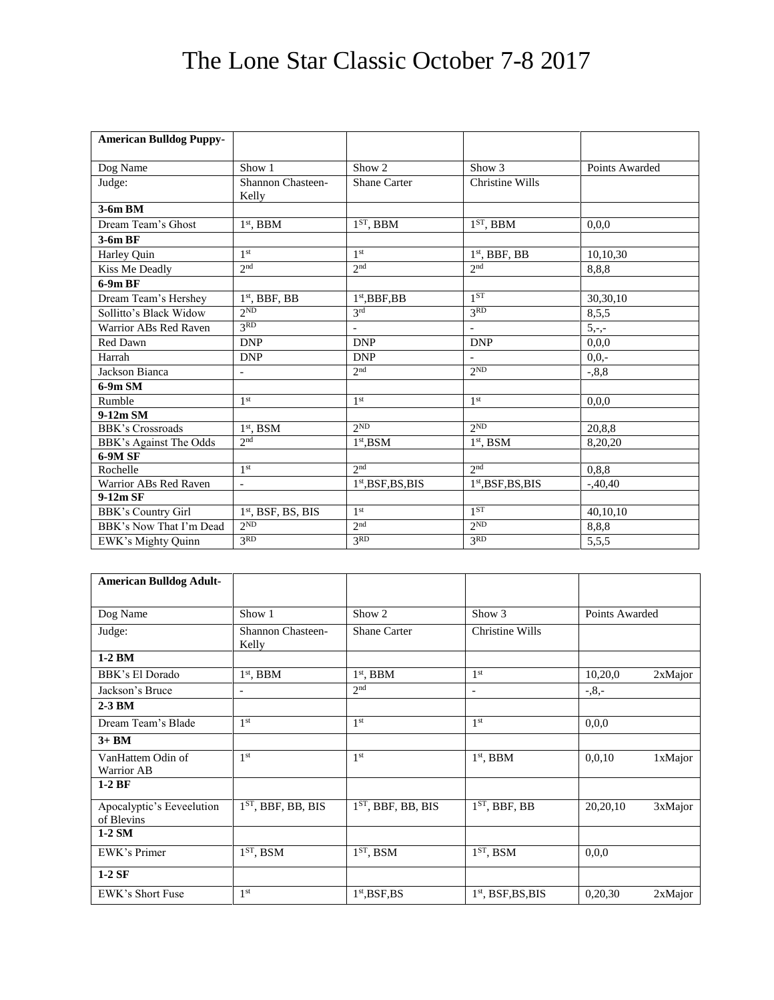## The Lone Star Classic October 7-8 2017

| <b>American Bulldog Puppy-</b> |                                   |                          |                          |                |
|--------------------------------|-----------------------------------|--------------------------|--------------------------|----------------|
|                                |                                   |                          |                          |                |
| Dog Name                       | Show 1                            | Show 2                   | Show 3                   | Points Awarded |
| Judge:                         | <b>Shannon Chasteen-</b><br>Kelly | <b>Shane Carter</b>      | <b>Christine Wills</b>   |                |
| 3-6m BM                        |                                   |                          |                          |                |
| Dream Team's Ghost             | $1st$ , BBM                       | $1ST$ , BBM              | $1ST$ , BBM              | 0,0,0          |
| 3-6m BF                        |                                   |                          |                          |                |
| Harley Quin                    | 1 <sup>st</sup>                   | 1 <sup>st</sup>          | $1st$ , BBF, BB          | 10,10,30       |
| Kiss Me Deadly                 | 2 <sub>nd</sub>                   | 2 <sup>nd</sup>          | 2nd                      | 8,8,8          |
| $6-9mBF$                       |                                   |                          |                          |                |
| Dream Team's Hershey           | $1st$ , BBF, BB                   | $1st$ , BBF, BB          | 1ST                      | 30,30,10       |
| Sollitto's Black Widow         | 2 <sub>ND</sub>                   | 2rd                      | 3 <sub>RD</sub>          | 8,5,5          |
| Warrior ABs Red Raven          | 3 <sup>RD</sup>                   | $\overline{\phantom{a}}$ | $\equiv$                 | $5, -,-$       |
| Red Dawn                       | <b>DNP</b>                        | <b>DNP</b>               | <b>DNP</b>               | 0,0,0          |
| Harrah                         | <b>DNP</b>                        | <b>DNP</b>               | $\overline{\phantom{a}}$ | $0.0 -$        |
| Jackson Bianca                 |                                   | 2 <sup>nd</sup>          | 2 <sub>ND</sub>          | $-0.8,8$       |
| $6-9m SM$                      |                                   |                          |                          |                |
| Rumble                         | 1 <sup>st</sup>                   | 1 <sup>st</sup>          | 1 <sup>st</sup>          | 0.0.0          |
| 9-12m SM                       |                                   |                          |                          |                |
| <b>BBK's Crossroads</b>        | $1st$ , BSM                       | 2 <sub>ND</sub>          | 2ND                      | 20,8,8         |
| BBK's Against The Odds         | 2 <sub>nd</sub>                   | $1st$ .BSM               | $1st$ . BSM              | 8,20,20        |
| 6-9M SF                        |                                   |                          |                          |                |
| Rochelle                       | 1 <sup>st</sup>                   | 2 <sup>nd</sup>          | 2 <sub>nd</sub>          | 0,8,8          |
| Warrior ABs Red Raven          | $\overline{\phantom{a}}$          | $1st,BSF,BS,BIS$         | $1st,BSF,BS,BIS$         | $-.40,40$      |
| $9-12m$ SF                     |                                   |                          |                          |                |
| BBK's Country Girl             | $1st$ , BSF, BS, BIS              | 1 <sup>st</sup>          | 1 <sup>ST</sup>          | 40,10,10       |
| BBK's Now That I'm Dead        | 2 <sub>ND</sub>                   | 2 <sub>nd</sub>          | 2 <sub>ND</sub>          | 8,8,8          |
| EWK's Mighty Quinn             | 3RD                               | 3 <sup>RD</sup>          | 3 <sup>RD</sup>          | 5,5,5          |

| <b>American Bulldog Adult-</b>          |                                   |                      |                           |                |         |
|-----------------------------------------|-----------------------------------|----------------------|---------------------------|----------------|---------|
| Dog Name                                | Show 1                            | Show 2               | Show 3                    | Points Awarded |         |
| Judge:                                  | <b>Shannon Chasteen-</b><br>Kelly | <b>Shane Carter</b>  | Christine Wills           |                |         |
| $1-2$ BM                                |                                   |                      |                           |                |         |
| BBK's El Dorado                         | $1st$ , BBM                       | $1st$ , BBM          | 1 <sup>st</sup>           | 10,20,0        | 2xMajor |
| Jackson's Bruce                         | ۰                                 | 2 <sub>nd</sub>      | $\overline{\phantom{0}}$  | $-0.8,-$       |         |
| $2-3$ BM                                |                                   |                      |                           |                |         |
| Dream Team's Blade                      | 1 <sup>st</sup>                   | 1 <sup>st</sup>      | 1 <sup>st</sup>           | 0.0.0          |         |
| $3+BM$                                  |                                   |                      |                           |                |         |
| VanHattem Odin of<br><b>Warrior AB</b>  | 1 <sup>st</sup>                   | 1 <sup>st</sup>      | $1st$ , BBM               | 0,0,10         | 1xMajor |
| $1-2BF$                                 |                                   |                      |                           |                |         |
| Apocalyptic's Eeveelution<br>of Blevins | $1ST$ , BBF, BB, BIS              | $1ST$ , BBF, BB, BIS | $1ST$ , BBF, BB           | 20,20,10       | 3xMajor |
| $1-2$ SM                                |                                   |                      |                           |                |         |
| EWK's Primer                            | $1ST$ , BSM                       | $1ST$ , BSM          | $\overline{1^{ST}}$ , BSM | 0,0,0          |         |
| $1-2$ SF                                |                                   |                      |                           |                |         |
| EWK's Short Fuse                        | 1 <sup>st</sup>                   | $1st$ , BSF, BS      | $1st$ , BSF, BS, BIS      | 0,20,30        | 2xMajor |